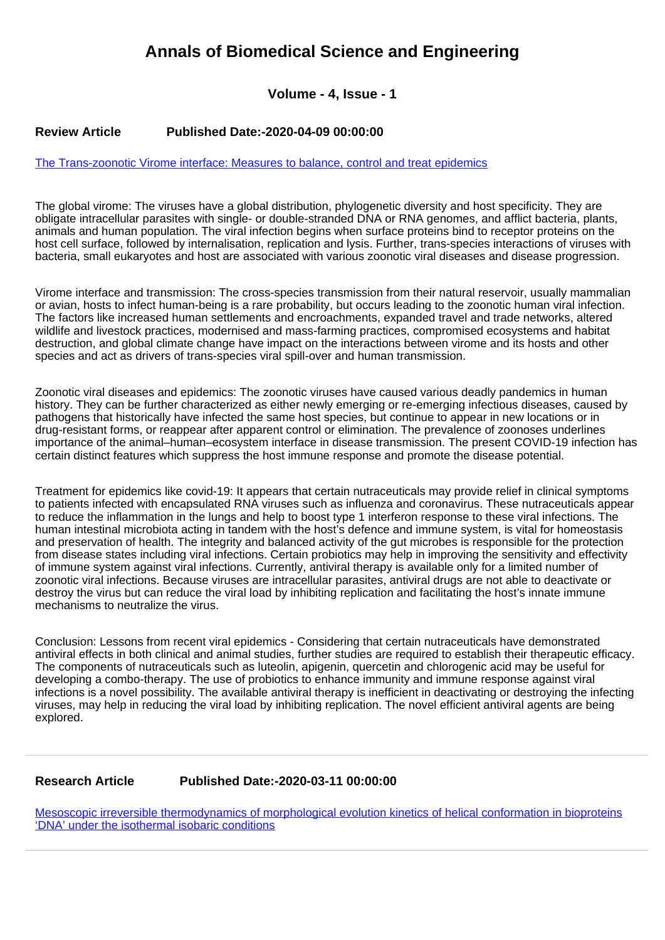# **Annals of Biomedical Science and Engineering**

## **Volume - 4, Issue - 1**

### **Review Article Published Date:-2020-04-09 00:00:00**

#### [The Trans-zoonotic Virome interface: Measures to balance, control and treat epidemics](https://www.biomedscijournal.com/articles/abse-aid1009.pdf)

The global virome: The viruses have a global distribution, phylogenetic diversity and host specificity. They are obligate intracellular parasites with single- or double-stranded DNA or RNA genomes, and afflict bacteria, plants, animals and human population. The viral infection begins when surface proteins bind to receptor proteins on the host cell surface, followed by internalisation, replication and lysis. Further, trans-species interactions of viruses with bacteria, small eukaryotes and host are associated with various zoonotic viral diseases and disease progression.

Virome interface and transmission: The cross-species transmission from their natural reservoir, usually mammalian or avian, hosts to infect human-being is a rare probability, but occurs leading to the zoonotic human viral infection. The factors like increased human settlements and encroachments, expanded travel and trade networks, altered wildlife and livestock practices, modernised and mass-farming practices, compromised ecosystems and habitat destruction, and global climate change have impact on the interactions between virome and its hosts and other species and act as drivers of trans-species viral spill-over and human transmission.

Zoonotic viral diseases and epidemics: The zoonotic viruses have caused various deadly pandemics in human history. They can be further characterized as either newly emerging or re-emerging infectious diseases, caused by pathogens that historically have infected the same host species, but continue to appear in new locations or in drug-resistant forms, or reappear after apparent control or elimination. The prevalence of zoonoses underlines importance of the animal–human–ecosystem interface in disease transmission. The present COVID-19 infection has certain distinct features which suppress the host immune response and promote the disease potential.

Treatment for epidemics like covid-19: It appears that certain nutraceuticals may provide relief in clinical symptoms to patients infected with encapsulated RNA viruses such as influenza and coronavirus. These nutraceuticals appear to reduce the inflammation in the lungs and help to boost type 1 interferon response to these viral infections. The human intestinal microbiota acting in tandem with the host's defence and immune system, is vital for homeostasis and preservation of health. The integrity and balanced activity of the gut microbes is responsible for the protection from disease states including viral infections. Certain probiotics may help in improving the sensitivity and effectivity of immune system against viral infections. Currently, antiviral therapy is available only for a limited number of zoonotic viral infections. Because viruses are intracellular parasites, antiviral drugs are not able to deactivate or destroy the virus but can reduce the viral load by inhibiting replication and facilitating the host's innate immune mechanisms to neutralize the virus.

Conclusion: Lessons from recent viral epidemics - Considering that certain nutraceuticals have demonstrated antiviral effects in both clinical and animal studies, further studies are required to establish their therapeutic efficacy. The components of nutraceuticals such as luteolin, apigenin, quercetin and chlorogenic acid may be useful for developing a combo-therapy. The use of probiotics to enhance immunity and immune response against viral infections is a novel possibility. The available antiviral therapy is inefficient in deactivating or destroying the infecting viruses, may help in reducing the viral load by inhibiting replication. The novel efficient antiviral agents are being explored.

#### **Research Article Published Date:-2020-03-11 00:00:00**

[Mesoscopic irreversible thermodynamics of morphological evolution kinetics of helical conformation in bioproteins](https://www.biomedscijournal.com/articles/abse-aid1008.pdf) ['DNA' under the isothermal isobaric conditions](https://www.biomedscijournal.com/articles/abse-aid1008.pdf)